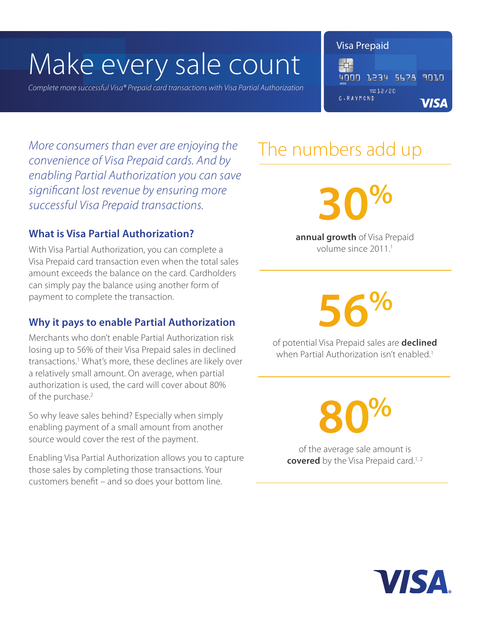# Make every sale count

*Complete more successful Visa® Prepaid card transactions with Visa Partial Authorization* 

Visa Prepaid

关 4000 1234 5678 9010  $25/50$ **G.RAYMOND VISA** 

More consumers than ever are enjoying the **The numbers add up** *convenience of Visa Prepaid cards. And by enabling Partial Authorization you can save significant lost revenue by ensuring more successful Visa Prepaid transactions.*

### **What is Visa Partial Authorization?**

With Visa Partial Authorization, you can complete a Visa Prepaid card transaction even when the total sales amount exceeds the balance on the card. Cardholders can simply pay the balance using another form of payment to complete the transaction.

### **Why it pays to enable Partial Authorization**

Merchants who don't enable Partial Authorization risk losing up to 56% of their Visa Prepaid sales in declined transactions.1 What's more, these declines are likely over a relatively small amount. On average, when partial authorization is used, the card will cover about 80% of the purchase.<sup>2</sup>

So why leave sales behind? Especially when simply enabling payment of a small amount from another source would cover the rest of the payment.

Enabling Visa Partial Authorization allows you to capture those sales by completing those transactions. Your customers benefit – and so does your bottom line.

**30%**

**annual growth** of Visa Prepaid volume since 2011<sup>1</sup>

**56%**

of potential Visa Prepaid sales are **declined** when Partial Authorization isn't enabled.<sup>1</sup>

**80%**

of the average sale amount is **covered** by the Visa Prepaid card.<sup>1,2</sup>